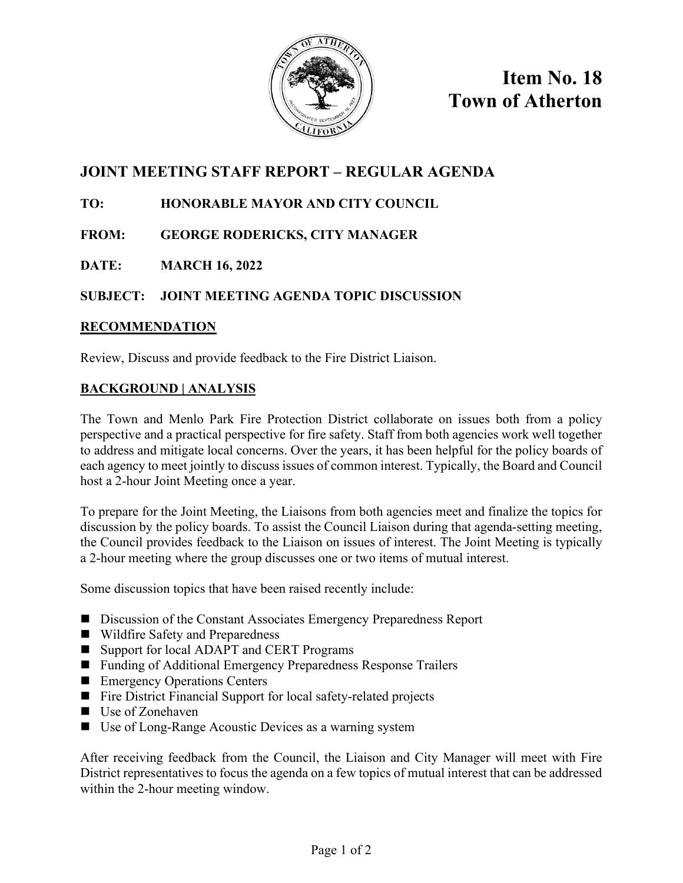

**Item No. 18 Town of Atherton**

# **JOINT MEETING STAFF REPORT – REGULAR AGENDA**

## **TO: HONORABLE MAYOR AND CITY COUNCIL**

**FROM: GEORGE RODERICKS, CITY MANAGER**

## **DATE: MARCH 16, 2022**

## **SUBJECT: JOINT MEETING AGENDA TOPIC DISCUSSION**

### **RECOMMENDATION**

Review, Discuss and provide feedback to the Fire District Liaison.

### **BACKGROUND | ANALYSIS**

The Town and Menlo Park Fire Protection District collaborate on issues both from a policy perspective and a practical perspective for fire safety. Staff from both agencies work well together to address and mitigate local concerns. Over the years, it has been helpful for the policy boards of each agency to meet jointly to discuss issues of common interest. Typically, the Board and Council host a 2-hour Joint Meeting once a year.

To prepare for the Joint Meeting, the Liaisons from both agencies meet and finalize the topics for discussion by the policy boards. To assist the Council Liaison during that agenda-setting meeting, the Council provides feedback to the Liaison on issues of interest. The Joint Meeting is typically a 2-hour meeting where the group discusses one or two items of mutual interest.

Some discussion topics that have been raised recently include:

- Discussion of the Constant Associates Emergency Preparedness Report
- Wildfire Safety and Preparedness
- Support for local ADAPT and CERT Programs
- Funding of Additional Emergency Preparedness Response Trailers
- **Emergency Operations Centers**
- Fire District Financial Support for local safety-related projects
- Use of Zonehaven
- Use of Long-Range Acoustic Devices as a warning system

After receiving feedback from the Council, the Liaison and City Manager will meet with Fire District representatives to focus the agenda on a few topics of mutual interest that can be addressed within the 2-hour meeting window.